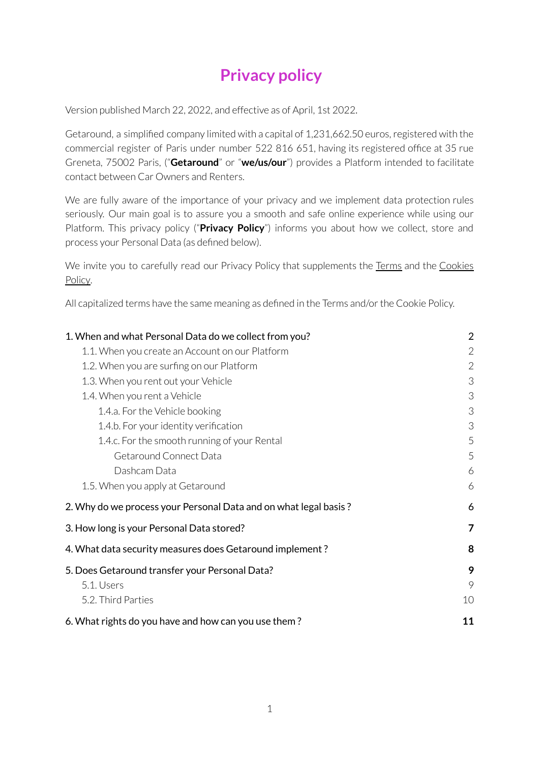# **Privacy policy**

Version published March 22, 2022, and effective as of April, 1st 2022.

Getaround, a simplified company limited with a capital of 1,231,662.50 euros, registered with the commercial register of Paris under number 522 816 651, having its registered office at 35 rue Greneta, 75002 Paris, ("**Getaround**" or "**we/us/our**") provides a Platform intended to facilitate contact between Car Owners and Renters.

We are fully aware of the importance of your privacy and we implement data protection rules seriously. Our main goal is to assure you a smooth and safe online experience while using our Platform. This privacy policy ("**Privacy Policy**") informs you about how we collect, store and process your Personal Data (as defined below).

We invite you to carefully read our Privacy Policy that supplements the [Terms](https://uk.getaround.com/terms) and the [Cookies](https://uk.getaround.com/cookies) [Policy.](https://uk.getaround.com/cookies)

All capitalized terms have the same meaning as defined in the Terms and/or the Cookie Policy.

| 1. When and what Personal Data do we collect from you?           |                |
|------------------------------------------------------------------|----------------|
| 1.1. When you create an Account on our Platform                  | 2              |
| 1.2. When you are surfing on our Platform                        | $\overline{2}$ |
| 1.3. When you rent out your Vehicle                              | 3              |
| 1.4. When you rent a Vehicle                                     | 3              |
| 1.4.a. For the Vehicle booking                                   | 3              |
| 1.4.b. For your identity verification                            | 3              |
| 1.4.c. For the smooth running of your Rental                     | 5              |
| Getaround Connect Data                                           | 5              |
| Dashcam Data                                                     | 6              |
| 1.5. When you apply at Getaround                                 | 6              |
| 2. Why do we process your Personal Data and on what legal basis? | 6              |
| 3. How long is your Personal Data stored?                        | $\overline{7}$ |
| 4. What data security measures does Getaround implement?         | 8              |
| 5. Does Getaround transfer your Personal Data?                   | 9              |
| 5.1. Users                                                       | 9              |
| 5.2. Third Parties                                               | 10             |
| 6. What rights do you have and how can you use them?             | 11             |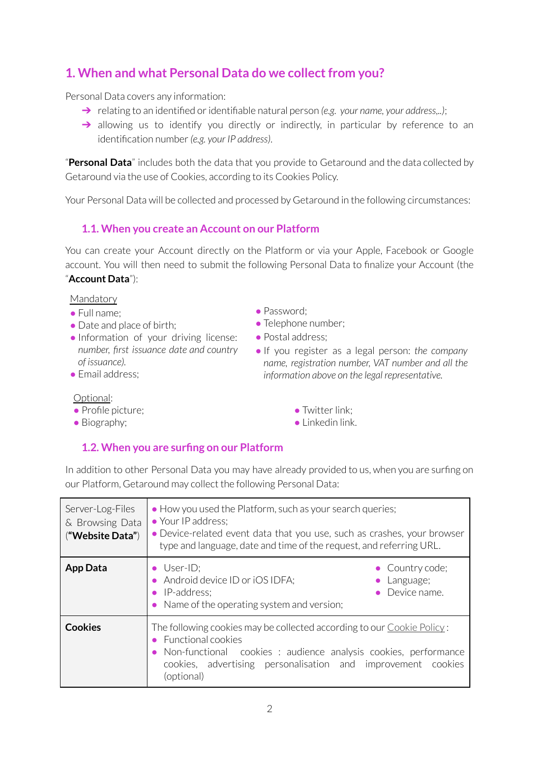# <span id="page-1-0"></span>**1. When and what Personal Data do we collectfrom you?**

Personal Data covers any information:

- ➔ relating to an identified oridentifiable natural person *(e.g. your name, your address,..)*;
- → allowing us to identify you directly or indirectly, in particular by reference to an identification number*(e.g. your IP address)*.

"**Personal Data**" includes both the data that you provide to Getaround and the data collected by Getaround via the use of Cookies, according to its Cookies Policy.

Your Personal Data will be collected and processed by Getaround in the following circumstances:

#### <span id="page-1-1"></span>**1.1. When you create an Account on our Platform**

You can create your Account directly on the Platform or via your Apple, Facebook or Google account. You will then need to submit the following Personal Data to finalize your Account (the "**Account Data**"):

#### Mandatory

- Full name;
- Date and place of birth;
- Information of your driving license: *number, first issuance date and country of issuance).*
- Email address:
- Password;
- Telephone number;
- Postal address;
- If you register as a legal person: *the company name, registration number, VAT number and all the information above on the legal representative.*

#### Optional:

- Profile picture;
- Biography;
- **Twitter link:**
- Linkedin link.

### <span id="page-1-2"></span>**1.2. When you are surfing on our Platform**

In addition to other Personal Data you may have already provided to us, when you are surfing on our Platform, Getaround may collect the following Personal Data:

| Server-Log-Files<br>& Browsing Data<br>("Website Data") | • How you used the Platform, such as your search queries;<br>• Your IP address;<br>• Device-related event data that you use, such as crashes, your browser<br>type and language, date and time of the request, and referring URL.                 |
|---------------------------------------------------------|---------------------------------------------------------------------------------------------------------------------------------------------------------------------------------------------------------------------------------------------------|
| <b>App Data</b>                                         | $\bullet$ User-ID;<br>• Country code;<br>• Android device ID or iOS IDFA;<br>Language;<br>Device name.<br>• IP-address:<br>• Name of the operating system and version;                                                                            |
| <b>Cookies</b>                                          | The following cookies may be collected according to our Cookie Policy:<br>• Functional cookies<br>• Non-functional cookies : audience analysis cookies, performance<br>cookies, advertising personalisation and improvement cookies<br>(optional) |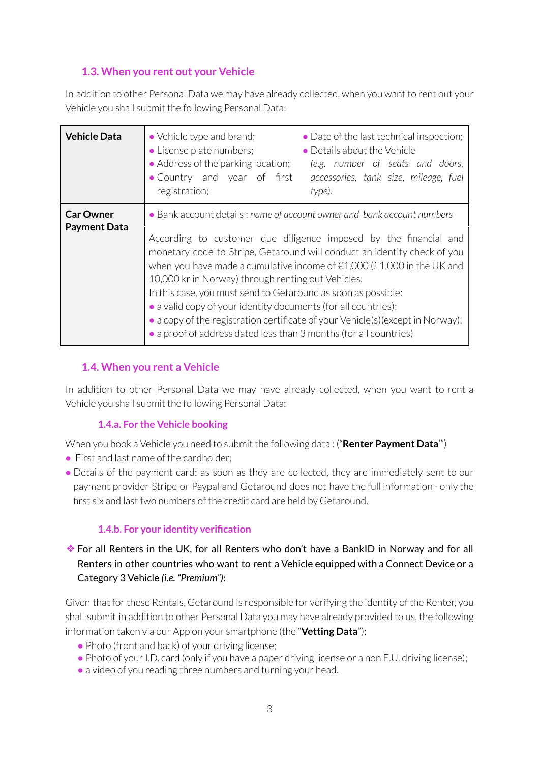# <span id="page-2-0"></span>**1.3. When you rent out your Vehicle**

In addition to other Personal Data we may have already collected, when you want to rent out your Vehicle you shall submit the following Personal Data:

| <b>Vehicle Data</b>                     | • Vehicle type and brand;<br>• License plate numbers;<br>• Address of the parking location;<br>• Country and year of first<br>registration;                                                                                                                | • Date of the last technical inspection;<br>• Details about the Vehicle<br>(e.g. number of seats and doors,<br>accessories, tank size, mileage, fuel<br>type).                                                                                                                                                                                                                               |
|-----------------------------------------|------------------------------------------------------------------------------------------------------------------------------------------------------------------------------------------------------------------------------------------------------------|----------------------------------------------------------------------------------------------------------------------------------------------------------------------------------------------------------------------------------------------------------------------------------------------------------------------------------------------------------------------------------------------|
| <b>Car Owner</b><br><b>Payment Data</b> | 10,000 kr in Norway) through renting out Vehicles.<br>In this case, you must send to Getaround as soon as possible:<br>• a valid copy of your identity documents (for all countries);<br>• a proof of address dated less than 3 months (for all countries) | • Bank account details: name of account owner and bank account numbers<br>According to customer due diligence imposed by the financial and<br>monetary code to Stripe, Getaround will conduct an identity check of you<br>when you have made a cumulative income of $\epsilon$ 1,000 (£1,000 in the UK and<br>• a copy of the registration certificate of your Vehicle(s)(except in Norway); |

# <span id="page-2-1"></span>**1.4. When you rent a Vehicle**

In addition to other Personal Data we may have already collected, when you want to rent a Vehicle you shall submit the following Personal Data:

### **1.4.a. For the Vehicle booking**

<span id="page-2-2"></span>When you book a Vehicle you need to submit the following data : ("**Renter Payment Data**'")

- First and last name of the cardholder:
- Details of the payment card: as soon as they are collected, they are immediately sent to our payment provider Stripe or Paypal and Getaround does not have the full information - only the first six and last two numbers of the credit card are held by Getaround.

### **1.4.b. For your identity verification**

<span id="page-2-3"></span>❖For all Renters in the UK, for all Renters who don't have a BankID in Norway and for all Renters in other countries who want to rent a Vehicle equipped with a Connect Device or a Category 3 Vehicle *(i.e. "Premium")*:

Given that for these Rentals, Getaround is responsible for verifying the identity of the Renter, you shall submit in addition to other Personal Data you may have already provided to us, the following information taken via our App on your smartphone (the "**Vetting Data**"):

- Photo (front and back) of your driving license;
- Photo of your I.D. card (only if you have a paper driving license or a non E.U. driving license);
- a video of you reading three numbers and turning your head.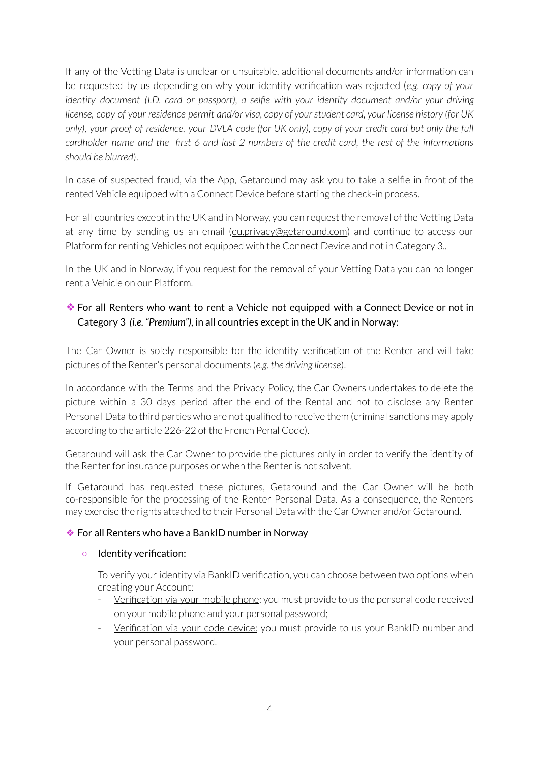If any of the Vetting Data is unclear or unsuitable, additional documents and/or information can be requested by us depending on why your identity verification was rejected (*e.g. copy of your identity document (I.D. card or passport), a selfie with your identity document and/or your driving* license, copy of your residence permit and/or visa, copy of your student card, your license history (for UK only), your proof of residence, your DVLA code (for UK only), copy of your credit card but only the full cardholder name and the first 6 and last 2 numbers of the credit card, the rest of the informations *should be blurred*).

In case of suspected fraud, via the App, Getaround may ask you to take a selfie in front of the rented Vehicle equipped with a Connect Device before starting the check-in process.

For all countries except in the UK and in Norway, you can request the removal of the Vetting Data at any time by sending us an email ([eu.privacy@getaround.com](mailto:eu.privacy@getaround.com)) and continue to access our Platform for renting Vehicles not equipped with the Connect Device and not in Category 3..

In the UK and in Norway, if you request for the removal of your Vetting Data you can no longer rent a Vehicle on our Platform.

# ❖For all Renters who want to rent a Vehicle not equipped with a Connect Device or not in Category 3 *(i.e. "Premium"),* in all countries except in the UK and in Norway:

The Car Owner is solely responsible for the identity verification of the Renter and will take pictures of the Renter's personal documents (*e.g. the driving license*).

In accordance with the Terms and the Privacy Policy, the Car Owners undertakes to delete the picture within a 30 days period after the end of the Rental and not to disclose any Renter Personal Data to third parties who are not qualified to receive them (criminal sanctions may apply according to the article 226-22 of the French Penal Code).

Getaround will ask the Car Owner to provide the pictures only in order to verify the identity of the Renter for insurance purposes or when the Renter is not solvent.

If Getaround has requested these pictures, Getaround and the Car Owner will be both co-responsible for the processing of the Renter Personal Data. As a consequence, the Renters may exercise the rights attached to their Personal Data with the Car Owner and/or Getaround.

#### ❖ For all Renters who have a BankID number in Norway

#### ○ Identity verification:

To verify your identity via BankID verification, you can choose between two options when creating your Account:

- Verification via your mobile phone: you must provide to us the personal code received on your mobile phone and your personal password;
- Verification via your code device: you must provide to us your BankID number and your personal password.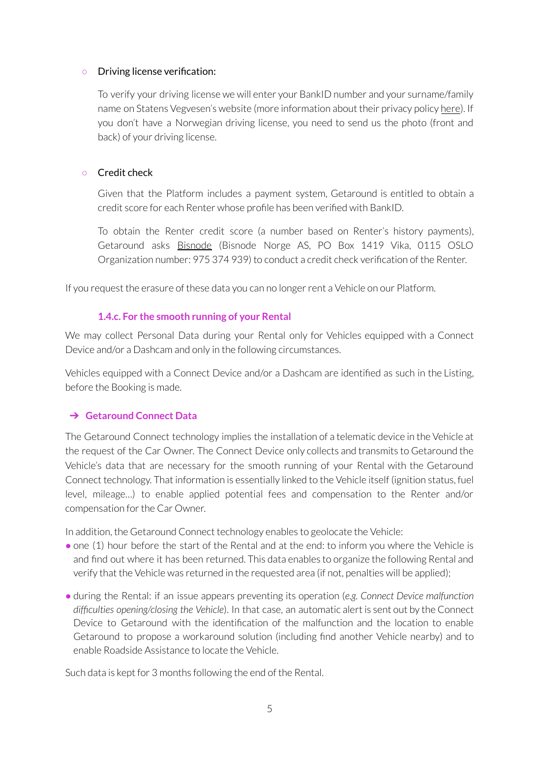#### ○ Driving license verification:

To verify your driving license we will enter your BankID number and your surname/family name on Statens Vegvesen's website (more information about their privacy policy [here](https://www.vegvesen.no/en/about-us/about-us/privacy-policy-and-cookies/)). If you don't have a Norwegian driving license, you need to send us the photo (front and back) of your driving license.

#### ○ Credit check

Given that the Platform includes a payment system, Getaround is entitled to obtain a credit score for each Renter whose profile has been verified with BankID.

To obtain the Renter credit score (a number based on Renter's history payments), Getaround asks [Bisnode](https://www.bisnode.no/om-bisnode/) (Bisnode Norge AS, PO Box 1419 Vika, 0115 OSLO Organization number: 975 374 939) to conduct a credit check verification of the Renter.

If you request the erasure of these data you can no longerrent a Vehicle on our Platform.

#### **1.4.c. For the smooth running of your Rental**

<span id="page-4-0"></span>We may collect Personal Data during your Rental only for Vehicles equipped with a Connect Device and/or a Dashcam and only in the following circumstances.

Vehicles equipped with a Connect Device and/or a Dashcam are identified as such in the Listing, before the Booking is made.

#### <span id="page-4-1"></span>➔ **Getaround Connect Data**

The Getaround Connect technology implies the installation of a telematic device in the Vehicle at the request of the Car Owner. The Connect Device only collects and transmits to Getaround the Vehicle's data that are necessary for the smooth running of your Rental with the Getaround Connect technology. That information is essentially linked to the Vehicle itself (ignition status, fuel level, mileage…) to enable applied potential fees and compensation to the Renter and/or compensation for the Car Owner.

In addition, the Getaround Connect technology enables to geolocate the Vehicle:

- one (1) hour before the start of the Rental and at the end: to inform you where the Vehicle is and find out where it has been returned. This data enables to organize the following Rental and verify that the Vehicle was returned in the requested area (if not, penalties will be applied);
- during the Rental: if an issue appears preventing its operation (*e.g. Connect Device malfunction difficulties opening/closing the Vehicle*). In that case, an automatic alert is sent out by the Connect Device to Getaround with the identification of the malfunction and the location to enable Getaround to propose a workaround solution (including find another Vehicle nearby) and to enable Roadside Assistance to locate the Vehicle.

Such data is kept for 3 months following the end of the Rental.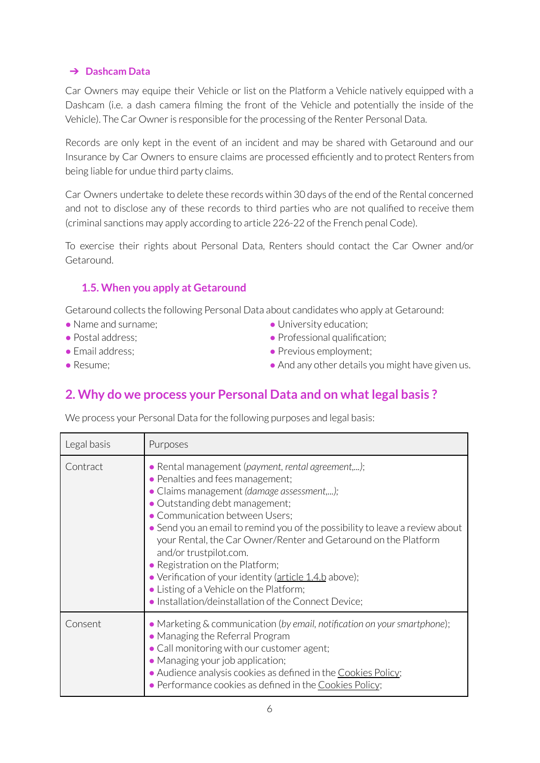#### <span id="page-5-0"></span>➔ **Dashcam Data**

Car Owners may equipe their Vehicle or list on the Platform a Vehicle natively equipped with a Dashcam (i.e. a dash camera filming the front of the Vehicle and potentially the inside of the Vehicle). The Car Owner is responsible for the processing of the Renter Personal Data.

Records are only kept in the event of an incident and may be shared with Getaround and our Insurance by Car Owners to ensure claims are processed efficiently and to protect Renters from being liable for undue third party claims.

Car Owners undertake to delete these records within 30 days of the end of the Rental concerned and not to disclose any of these records to third parties who are not qualified to receive them (criminal sanctions may apply according to article 226-22 of the French penal Code).

To exercise their rights about Personal Data, Renters should contact the Car Owner and/or Getaround.

### <span id="page-5-1"></span>**1.5. When you apply at Getaround**

Getaround collects the following Personal Data about candidates who apply at Getaround:

- Name and surname:
- Postal address:
- Email address:
- Resume;
- University education;
- Professional qualification;
- Previous employment;
- And any other details you might have given us.

# <span id="page-5-2"></span>**2. Why do we process your Personal Data and on whatlegal basis ?**

We process your Personal Data for the following purposes and legal basis:

| Legal basis | Purposes                                                                                                                                                                                                                                                                                                                                                                                                                                                                                                                                                                            |
|-------------|-------------------------------------------------------------------------------------------------------------------------------------------------------------------------------------------------------------------------------------------------------------------------------------------------------------------------------------------------------------------------------------------------------------------------------------------------------------------------------------------------------------------------------------------------------------------------------------|
| Contract    | · Rental management (payment, rental agreement,);<br>• Penalties and fees management;<br>• Claims management (damage assessment,);<br>• Outstanding debt management;<br>• Communication between Users;<br>• Send you an email to remind you of the possibility to leave a review about<br>your Rental, the Car Owner/Renter and Getaround on the Platform<br>and/or trustpilot.com.<br>• Registration on the Platform;<br>• Verification of your identity (article 1.4.b above);<br>• Listing of a Vehicle on the Platform;<br>. Installation/deinstallation of the Connect Device; |
| Consent     | • Marketing & communication (by email, notification on your smartphone);<br>• Managing the Referral Program<br>• Call monitoring with our customer agent;<br>• Managing your job application;<br>• Audience analysis cookies as defined in the Cookies Policy;<br>• Performance cookies as defined in the Cookies Policy;                                                                                                                                                                                                                                                           |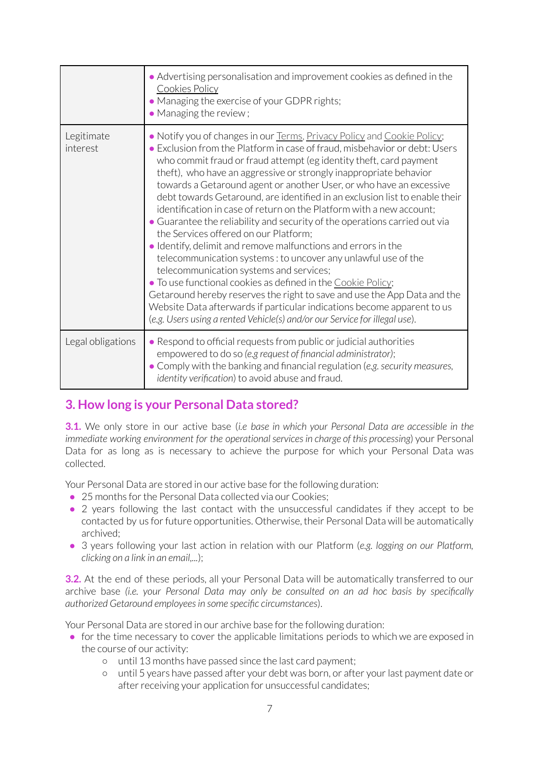|                        | • Advertising personalisation and improvement cookies as defined in the<br><b>Cookies Policy</b><br>• Managing the exercise of your GDPR rights;<br>• Managing the review;                                                                                                                                                                                                                                                                                                                                                                                                                                                                                                                                                                                                                                                                                                                                                                                                                                                                                                                                                              |
|------------------------|-----------------------------------------------------------------------------------------------------------------------------------------------------------------------------------------------------------------------------------------------------------------------------------------------------------------------------------------------------------------------------------------------------------------------------------------------------------------------------------------------------------------------------------------------------------------------------------------------------------------------------------------------------------------------------------------------------------------------------------------------------------------------------------------------------------------------------------------------------------------------------------------------------------------------------------------------------------------------------------------------------------------------------------------------------------------------------------------------------------------------------------------|
| Legitimate<br>interest | . Notify you of changes in our Terms, Privacy Policy and Cookie Policy;<br>• Exclusion from the Platform in case of fraud, misbehavior or debt: Users<br>who commit fraud or fraud attempt (eg identity theft, card payment<br>theft), who have an aggressive or strongly inappropriate behavior<br>towards a Getaround agent or another User, or who have an excessive<br>debt towards Getaround, are identified in an exclusion list to enable their<br>identification in case of return on the Platform with a new account;<br>• Guarantee the reliability and security of the operations carried out via<br>the Services offered on our Platform;<br>• Identify, delimit and remove malfunctions and errors in the<br>telecommunication systems: to uncover any unlawful use of the<br>telecommunication systems and services;<br>• To use functional cookies as defined in the Cookie Policy;<br>Getaround hereby reserves the right to save and use the App Data and the<br>Website Data afterwards if particular indications become apparent to us<br>(e.g. Users using a rented Vehicle(s) and/or our Service for illegal use). |
| Legal obligations      | . Respond to official requests from public or judicial authorities<br>empowered to do so (e.g request of financial administrator);<br>• Comply with the banking and financial regulation (e.g. security measures,<br>identity verification) to avoid abuse and fraud.                                                                                                                                                                                                                                                                                                                                                                                                                                                                                                                                                                                                                                                                                                                                                                                                                                                                   |

# <span id="page-6-0"></span>**3. How long is your Personal Data stored?**

**3.1.** We only store in our active base (*i.e base in which your Personal Data are accessible in the immediate working environment for the operationalservicesin charge of this processing*) your Personal Data for as long as is necessary to achieve the purpose for which your Personal Data was collected.

Your Personal Data are stored in our active base for the following duration:

- 25 months for the Personal Data collected via our Cookies;
- 2 years following the last contact with the unsuccessful candidates if they accept to be contacted by us forfuture opportunities. Otherwise, their Personal Data will be automatically archived;
- 3 years following your last action in relation with our Platform (*e.g. logging on our Platform, clicking on a link in an email,...*);

**3.2.** At the end of these periods, all your Personal Data will be automatically transferred to our archive base *(i.e. your Personal Data may only be consulted on an ad hoc basis by specifically authorized Getaround employeesin some specific circumstances*).

Your Personal Data are stored in our archive base for the following duration:

- for the time necessary to cover the applicable limitations periods to which we are exposed in the course of our activity:
	- until 13 months have passed since the last card payment;
	- until 5 years have passed after your debt was born, or after yourlast payment date or after receiving your application for unsuccessful candidates;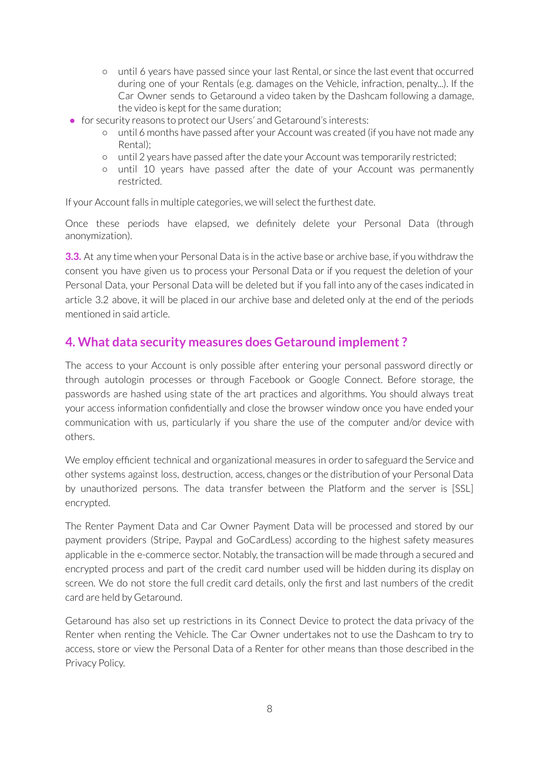- until 6 years have passed since your last Rental, or since the last event that occurred during one of your Rentals (e.g. damages on the Vehicle, infraction, penalty...). If the Car Owner sends to Getaround a video taken by the Dashcam following a damage, the video is kept for the same duration;
- for security reasons to protect our Users' and Getaround's interests:
	- until 6 months have passed after your Account was created (if you have not made any Rental);
	- until 2 years have passed afterthe date your Account was temporarily restricted;
	- until 10 years have passed after the date of your Account was permanently restricted.

If your Account falls in multiple categories, we will select the furthest date.

Once these periods have elapsed, we definitely delete your Personal Data (through anonymization).

**3.3.** At any time when your Personal Data is in the active base or archive base, if you withdraw the consent you have given us to process your Personal Data or if you request the deletion of your Personal Data, your Personal Data will be deleted but if you fall into any of the cases indicated in article 3.2 above, it will be placed in our archive base and deleted only at the end of the periods mentioned in said article.

# <span id="page-7-0"></span>**4. What data security measures does Getaround implement ?**

The access to your Account is only possible after entering your personal password directly or through autologin processes or through Facebook or Google Connect. Before storage, the passwords are hashed using state of the art practices and algorithms. You should always treat your access information confidentially and close the browser window once you have ended your communication with us, particularly if you share the use of the computer and/or device with others.

We employ efficient technical and organizational measures in order to safeguard the Service and other systems against loss, destruction, access, changes or the distribution of your Personal Data by unauthorized persons. The data transfer between the Platform and the server is [SSL] encrypted.

The Renter Payment Data and Car Owner Payment Data will be processed and stored by our payment providers (Stripe, Paypal and GoCardLess) according to the highest safety measures applicable in the e-commerce sector. Notably, the transaction will be made through a secured and encrypted process and part of the credit card number used will be hidden during its display on screen. We do not store the full credit card details, only the first and last numbers of the credit card are held by Getaround.

Getaround has also set up restrictions in its Connect Device to protect the data privacy of the Renter when renting the Vehicle. The Car Owner undertakes not to use the Dashcam to try to access, store or view the Personal Data of a Renter for other means than those described in the Privacy Policy.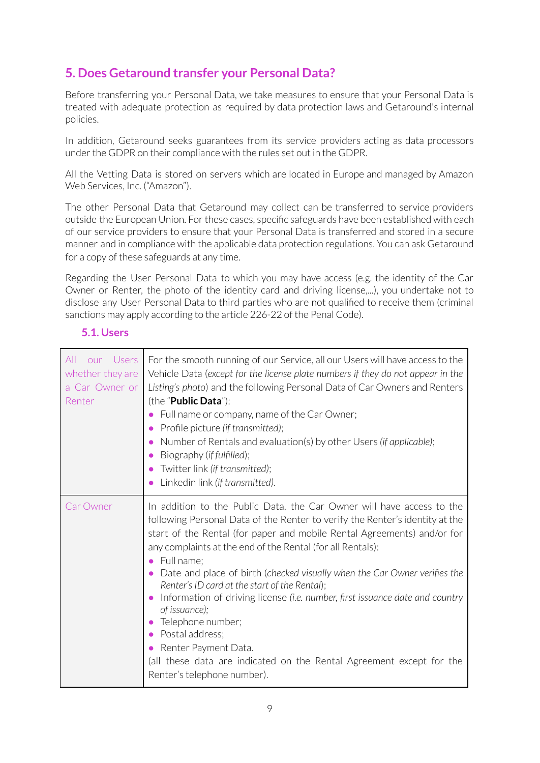# <span id="page-8-0"></span>**5. Does Getaround transfer your Personal Data?**

Before transferring your Personal Data, we take measures to ensure that your Personal Data is treated with adequate protection as required by data protection laws and Getaround's internal policies.

In addition, Getaround seeks guarantees from its service providers acting as data processors under the GDPR on their compliance with the rules set out in the GDPR.

All the Vetting Data is stored on servers which are located in Europe and managed by Amazon Web Services, Inc. ("Amazon").

The other Personal Data that Getaround may collect can be transferred to service providers outside the European Union. For these cases, specific safeguards have been established with each of our service providers to ensure that your Personal Data is transferred and stored in a secure manner and in compliance with the applicable data protection regulations. You can ask Getaround for a copy of these safeguards at any time.

Regarding the User Personal Data to which you may have access (e.g. the identity of the Car Owner or Renter, the photo of the identity card and driving license,...), you undertake not to disclose any User Personal Data to third parties who are not qualified to receive them (criminal sanctions may apply according to the article 226-22 of the Penal Code).

| our Users<br>All<br>whether they are<br>a Car Owner or<br>Renter | For the smooth running of our Service, all our Users will have access to the<br>Vehicle Data (except for the license plate numbers if they do not appear in the<br>Listing's photo) and the following Personal Data of Car Owners and Renters<br>(the "Public Data"):<br>Full name or company, name of the Car Owner;<br>Profile picture (if transmitted);<br>Number of Rentals and evaluation(s) by other Users (if applicable);<br>$\bullet$<br>Biography (if fulfilled);<br>Twitter link (if transmitted);<br>Linkedin link (if transmitted).                                                                                                                                                                                             |
|------------------------------------------------------------------|----------------------------------------------------------------------------------------------------------------------------------------------------------------------------------------------------------------------------------------------------------------------------------------------------------------------------------------------------------------------------------------------------------------------------------------------------------------------------------------------------------------------------------------------------------------------------------------------------------------------------------------------------------------------------------------------------------------------------------------------|
| <b>Car Owner</b>                                                 | In addition to the Public Data, the Car Owner will have access to the<br>following Personal Data of the Renter to verify the Renter's identity at the<br>start of the Rental (for paper and mobile Rental Agreements) and/or for<br>any complaints at the end of the Rental (for all Rentals):<br>Full name;<br>$\bullet$<br>Date and place of birth (checked visually when the Car Owner verifies the<br>Renter's ID card at the start of the Rental);<br>Information of driving license (i.e. number, first issuance date and country<br>of issuance);<br>Telephone number;<br>Postal address;<br>Renter Payment Data.<br>$\bullet$<br>(all these data are indicated on the Rental Agreement except for the<br>Renter's telephone number). |

### <span id="page-8-1"></span>**5.1. Users**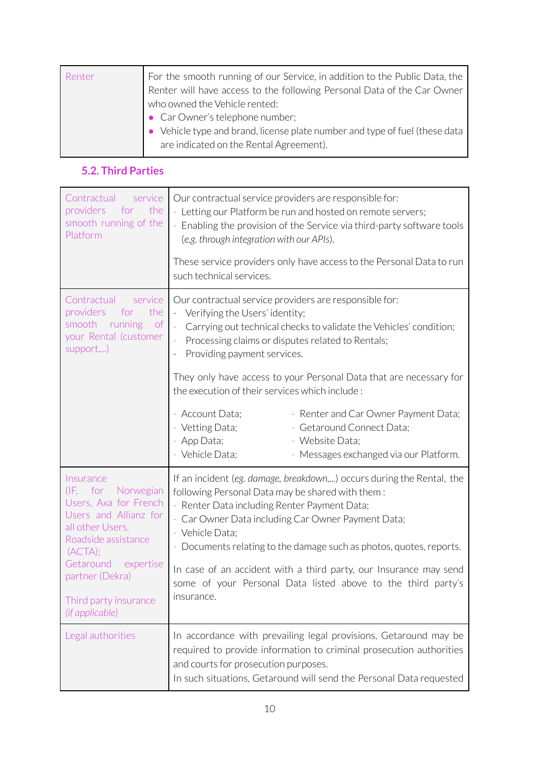| For the smooth running of our Service, in addition to the Public Data, the<br>Renter will have access to the following Personal Data of the Car Owner |
|-------------------------------------------------------------------------------------------------------------------------------------------------------|
| who owned the Vehicle rented:                                                                                                                         |
| • Car Owner's telephone number;                                                                                                                       |
| • Vehicle type and brand, license plate number and type of fuel (these data                                                                           |
| are indicated on the Rental Agreement).                                                                                                               |
|                                                                                                                                                       |

# <span id="page-9-0"></span>**5.2. Third Parties**

| Contractual<br>service<br>providers<br>for<br>the<br>smooth running of the<br>Platform                                                                                                                                                                   | Our contractual service providers are responsible for:<br>- Letting our Platform be run and hosted on remote servers;<br>Enabling the provision of the Service via third-party software tools<br>(e.g. through integration with our APIs).                                                                                                                                                                                                                               |
|----------------------------------------------------------------------------------------------------------------------------------------------------------------------------------------------------------------------------------------------------------|--------------------------------------------------------------------------------------------------------------------------------------------------------------------------------------------------------------------------------------------------------------------------------------------------------------------------------------------------------------------------------------------------------------------------------------------------------------------------|
|                                                                                                                                                                                                                                                          | These service providers only have access to the Personal Data to run<br>such technical services.                                                                                                                                                                                                                                                                                                                                                                         |
| Contractual<br>service<br>providers<br>for<br>the<br>smooth<br>running<br>of<br>your Rental (customer<br>support,)                                                                                                                                       | Our contractual service providers are responsible for:<br>Verifying the Users' identity;<br>Carrying out technical checks to validate the Vehicles' condition;<br>Processing claims or disputes related to Rentals;<br>Providing payment services.                                                                                                                                                                                                                       |
|                                                                                                                                                                                                                                                          | They only have access to your Personal Data that are necessary for<br>the execution of their services which include:                                                                                                                                                                                                                                                                                                                                                     |
|                                                                                                                                                                                                                                                          | - Account Data;<br>- Renter and Car Owner Payment Data;<br>Vetting Data;<br>Getaround Connect Data;<br>- App Data;<br>- Website Data;<br>Vehicle Data;<br>Messages exchanged via our Platform.                                                                                                                                                                                                                                                                           |
| Insurance<br>Norwegian<br>$(\mathsf{IF}, \mathsf{for})$<br>Users, Axa for French<br>Users and Allianz for<br>all other Users,<br>Roadside assistance<br>(ACTA);<br>Getaround<br>expertise<br>partner (Dekra)<br>Third party insurance<br>(if applicable) | If an incident (eg. damage, breakdown,) occurs during the Rental, the<br>following Personal Data may be shared with them:<br>- Renter Data including Renter Payment Data;<br>Car Owner Data including Car Owner Payment Data;<br>- Vehicle Data:<br>Documents relating to the damage such as photos, quotes, reports.<br>In case of an accident with a third party, our Insurance may send<br>some of your Personal Data listed above to the third party's<br>insurance. |
| Legal authorities                                                                                                                                                                                                                                        | In accordance with prevailing legal provisions, Getaround may be<br>required to provide information to criminal prosecution authorities<br>and courts for prosecution purposes.<br>In such situations, Getaround will send the Personal Data requested                                                                                                                                                                                                                   |